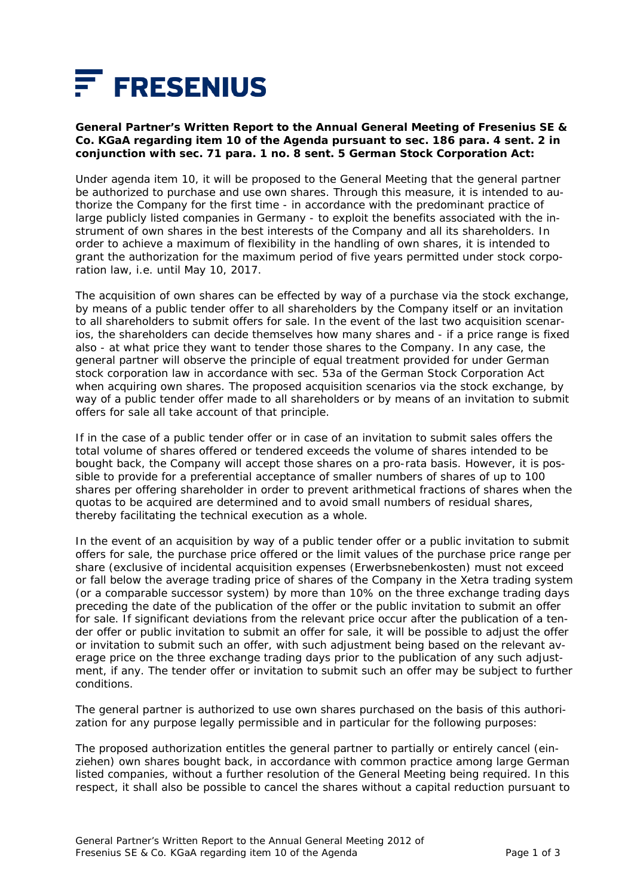

## **General Partner's Written Report to the Annual General Meeting of Fresenius SE & Co. KGaA regarding item 10 of the Agenda pursuant to sec. 186 para. 4 sent. 2 in conjunction with sec. 71 para. 1 no. 8 sent. 5 German Stock Corporation Act:**

Under agenda item 10, it will be proposed to the General Meeting that the general partner be authorized to purchase and use own shares. Through this measure, it is intended to authorize the Company for the first time - in accordance with the predominant practice of large publicly listed companies in Germany - to exploit the benefits associated with the instrument of own shares in the best interests of the Company and all its shareholders. In order to achieve a maximum of flexibility in the handling of own shares, it is intended to grant the authorization for the maximum period of five years permitted under stock corporation law, i.e. until May 10, 2017.

The acquisition of own shares can be effected by way of a purchase via the stock exchange, by means of a public tender offer to all shareholders by the Company itself or an invitation to all shareholders to submit offers for sale. In the event of the last two acquisition scenarios, the shareholders can decide themselves how many shares and - if a price range is fixed also - at what price they want to tender those shares to the Company. In any case, the general partner will observe the principle of equal treatment provided for under German stock corporation law in accordance with sec. 53a of the German Stock Corporation Act when acquiring own shares. The proposed acquisition scenarios via the stock exchange, by way of a public tender offer made to all shareholders or by means of an invitation to submit offers for sale all take account of that principle.

If in the case of a public tender offer or in case of an invitation to submit sales offers the total volume of shares offered or tendered exceeds the volume of shares intended to be bought back, the Company will accept those shares on a pro-rata basis. However, it is possible to provide for a preferential acceptance of smaller numbers of shares of up to 100 shares per offering shareholder in order to prevent arithmetical fractions of shares when the quotas to be acquired are determined and to avoid small numbers of residual shares, thereby facilitating the technical execution as a whole.

In the event of an acquisition by way of a public tender offer or a public invitation to submit offers for sale, the purchase price offered or the limit values of the purchase price range per share (exclusive of incidental acquisition expenses *(Erwerbsnebenkosten)* must not exceed or fall below the average trading price of shares of the Company in the Xetra trading system (or a comparable successor system) by more than 10% on the three exchange trading days preceding the date of the publication of the offer or the public invitation to submit an offer for sale. If significant deviations from the relevant price occur after the publication of a tender offer or public invitation to submit an offer for sale, it will be possible to adjust the offer or invitation to submit such an offer, with such adjustment being based on the relevant average price on the three exchange trading days prior to the publication of any such adjustment, if any. The tender offer or invitation to submit such an offer may be subject to further conditions.

The general partner is authorized to use own shares purchased on the basis of this authorization for any purpose legally permissible and in particular for the following purposes:

The proposed authorization entitles the general partner to partially or entirely cancel (*einziehen*) own shares bought back, in accordance with common practice among large German listed companies, without a further resolution of the General Meeting being required. In this respect, it shall also be possible to cancel the shares without a capital reduction pursuant to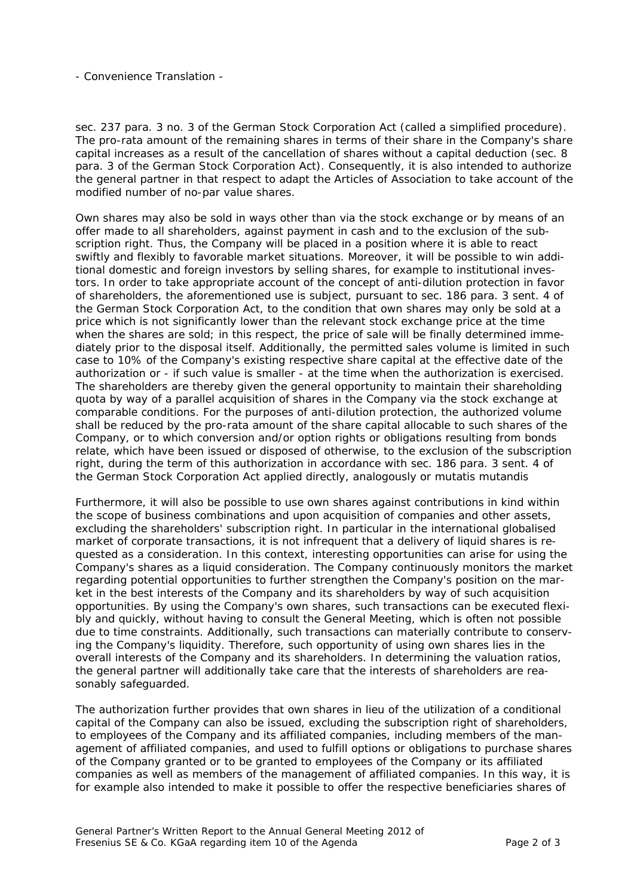- Convenience Translation -

sec. 237 para. 3 no. 3 of the German Stock Corporation Act (called a simplified procedure). The pro-rata amount of the remaining shares in terms of their share in the Company's share capital increases as a result of the cancellation of shares without a capital deduction (sec. 8 para. 3 of the German Stock Corporation Act). Consequently, it is also intended to authorize the general partner in that respect to adapt the Articles of Association to take account of the modified number of no-par value shares.

Own shares may also be sold in ways other than via the stock exchange or by means of an offer made to all shareholders, against payment in cash and to the exclusion of the subscription right. Thus, the Company will be placed in a position where it is able to react swiftly and flexibly to favorable market situations. Moreover, it will be possible to win additional domestic and foreign investors by selling shares, for example to institutional investors. In order to take appropriate account of the concept of anti-dilution protection in favor of shareholders, the aforementioned use is subject, pursuant to sec. 186 para. 3 sent. 4 of the German Stock Corporation Act, to the condition that own shares may only be sold at a price which is not significantly lower than the relevant stock exchange price at the time when the shares are sold; in this respect, the price of sale will be finally determined immediately prior to the disposal itself. Additionally, the permitted sales volume is limited in such case to 10% of the Company's existing respective share capital at the effective date of the authorization or - if such value is smaller - at the time when the authorization is exercised. The shareholders are thereby given the general opportunity to maintain their shareholding quota by way of a parallel acquisition of shares in the Company via the stock exchange at comparable conditions. For the purposes of anti-dilution protection, the authorized volume shall be reduced by the pro-rata amount of the share capital allocable to such shares of the Company, or to which conversion and/or option rights or obligations resulting from bonds relate, which have been issued or disposed of otherwise, to the exclusion of the subscription right, during the term of this authorization in accordance with sec. 186 para. 3 sent. 4 of the German Stock Corporation Act applied directly, analogously or mutatis mutandis

Furthermore, it will also be possible to use own shares against contributions in kind within the scope of business combinations and upon acquisition of companies and other assets, excluding the shareholders' subscription right. In particular in the international globalised market of corporate transactions, it is not infrequent that a delivery of liquid shares is requested as a consideration. In this context, interesting opportunities can arise for using the Company's shares as a liquid consideration. The Company continuously monitors the market regarding potential opportunities to further strengthen the Company's position on the market in the best interests of the Company and its shareholders by way of such acquisition opportunities. By using the Company's own shares, such transactions can be executed flexibly and quickly, without having to consult the General Meeting, which is often not possible due to time constraints. Additionally, such transactions can materially contribute to conserving the Company's liquidity. Therefore, such opportunity of using own shares lies in the overall interests of the Company and its shareholders. In determining the valuation ratios, the general partner will additionally take care that the interests of shareholders are reasonably safeguarded.

The authorization further provides that own shares in lieu of the utilization of a conditional capital of the Company can also be issued, excluding the subscription right of shareholders, to employees of the Company and its affiliated companies, including members of the management of affiliated companies, and used to fulfill options or obligations to purchase shares of the Company granted or to be granted to employees of the Company or its affiliated companies as well as members of the management of affiliated companies. In this way, it is for example also intended to make it possible to offer the respective beneficiaries shares of